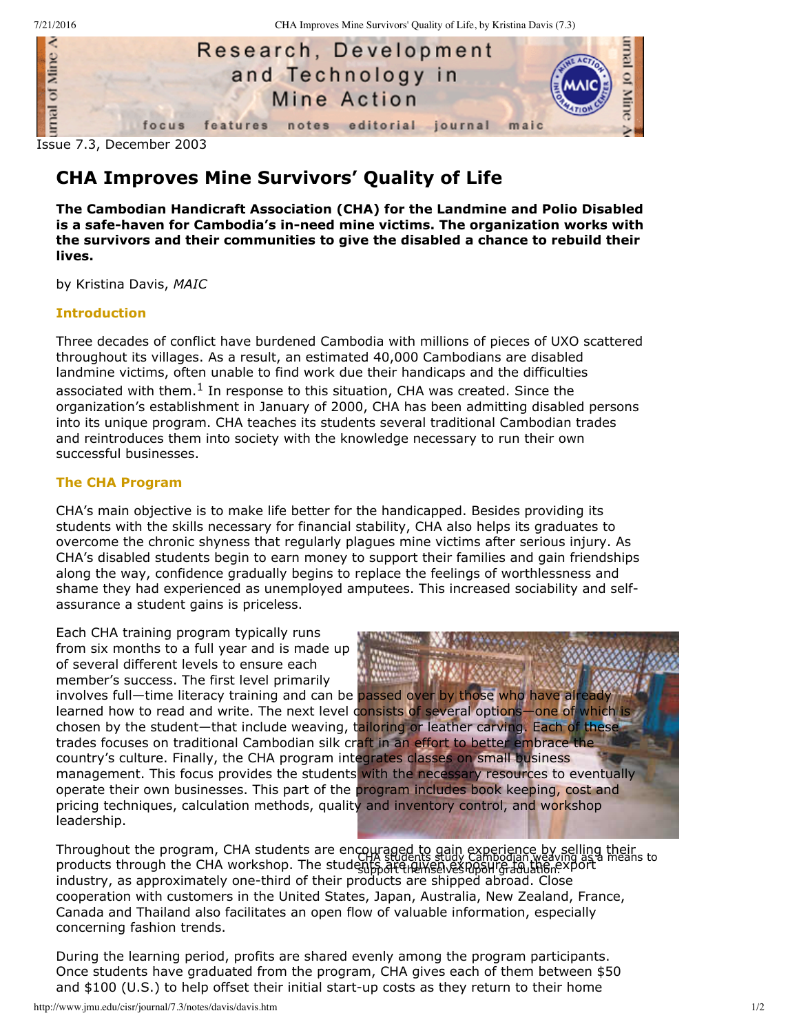

# **CHA Improves Mine Survivors' Quality of Life**

**The Cambodian Handicraft Association (CHA) for the Landmine and Polio Disabled is a safehaven for Cambodia's inneed mine victims. The organization works with the survivors and their communities to give the disabled a chance to rebuild their lives.**

by Kristina Davis, *MAIC*

## **Introduction**

Three decades of conflict have burdened Cambodia with millions of pieces of UXO scattered throughout its villages. As a result, an estimated 40,000 Cambodians are disabled landmine victims, often unable to find work due their handicaps and the difficulties associated with them. $^{1}$  In response to this situation, CHA was created. Since the organization's establishment in January of 2000, CHA has been admitting disabled persons into its unique program. CHA teaches its students several traditional Cambodian trades and reintroduces them into society with the knowledge necessary to run their own successful businesses.

#### **The CHA Program**

CHA's main objective is to make life better for the handicapped. Besides providing its students with the skills necessary for financial stability, CHA also helps its graduates to overcome the chronic shyness that regularly plagues mine victims after serious injury. As CHA's disabled students begin to earn money to support their families and gain friendships along the way, confidence gradually begins to replace the feelings of worthlessness and shame they had experienced as unemployed amputees. This increased sociability and selfassurance a student gains is priceless.

Each CHA training program typically runs from six months to a full year and is made up of several different levels to ensure each member's success. The first level primarily involves full—time literacy training and can be passed over by those who have already learned how to read and write. The next level consists of several options—one of which is chosen by the student—that include weaving, tailoring or leather carving. Each of these trades focuses on traditional Cambodian silk craft in an effort to better embrace the country's culture. Finally, the CHA program integrates classes on small business management. This focus provides the students with the necessary resources to eventually operate their own businesses. This part of the program includes book keeping, cost and pricing techniques, calculation methods, quality and inventory control, and workshop leadership.

Throughout the program, CHA students are encouraged to gain experience by selling their<br>The program of the contract of the contract of the program weaving as a means to products through the CHA workshop. The students are management and the export industry, as approximately one-third of their products are shipped abroad. Close cooperation with customers in the United States, Japan, Australia, New Zealand, France, Canada and Thailand also facilitates an open flow of valuable information, especially concerning fashion trends.

During the learning period, profits are shared evenly among the program participants. Once students have graduated from the program, CHA gives each of them between \$50 and  $$100$  (U.S.) to help offset their initial start-up costs as they return to their home